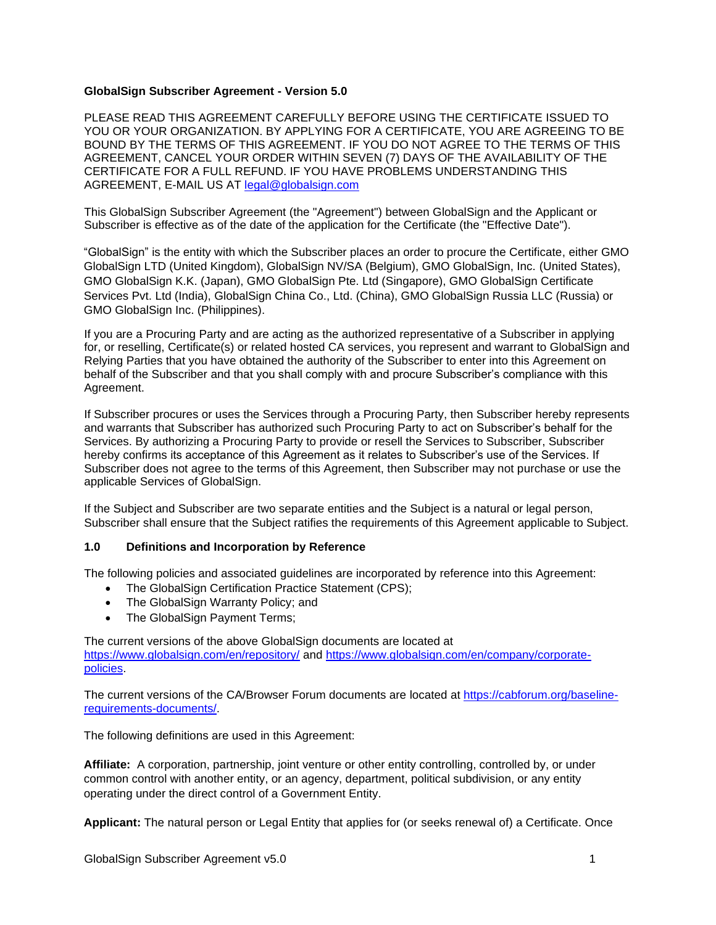### **GlobalSign Subscriber Agreement - Version 5.0**

PLEASE READ THIS AGREEMENT CAREFULLY BEFORE USING THE CERTIFICATE ISSUED TO YOU OR YOUR ORGANIZATION. BY APPLYING FOR A CERTIFICATE, YOU ARE AGREEING TO BE BOUND BY THE TERMS OF THIS AGREEMENT. IF YOU DO NOT AGREE TO THE TERMS OF THIS AGREEMENT, CANCEL YOUR ORDER WITHIN SEVEN (7) DAYS OF THE AVAILABILITY OF THE CERTIFICATE FOR A FULL REFUND. IF YOU HAVE PROBLEMS UNDERSTANDING THIS AGREEMENT, E-MAIL US AT [legal@globalsign.com](mailto:legal@globalsign.com)

This GlobalSign Subscriber Agreement (the "Agreement") between GlobalSign and the Applicant or Subscriber is effective as of the date of the application for the Certificate (the "Effective Date").

"GlobalSign" is the entity with which the Subscriber places an order to procure the Certificate, either GMO GlobalSign LTD (United Kingdom), GlobalSign NV/SA (Belgium), GMO GlobalSign, Inc. (United States), GMO GlobalSign K.K. (Japan), GMO GlobalSign Pte. Ltd (Singapore), GMO GlobalSign Certificate Services Pvt. Ltd (India), GlobalSign China Co., Ltd. (China), GMO GlobalSign Russia LLC (Russia) or GMO GlobalSign Inc. (Philippines).

If you are a Procuring Party and are acting as the authorized representative of a Subscriber in applying for, or reselling, Certificate(s) or related hosted CA services, you represent and warrant to GlobalSign and Relying Parties that you have obtained the authority of the Subscriber to enter into this Agreement on behalf of the Subscriber and that you shall comply with and procure Subscriber's compliance with this Agreement.

If Subscriber procures or uses the Services through a Procuring Party, then Subscriber hereby represents and warrants that Subscriber has authorized such Procuring Party to act on Subscriber's behalf for the Services. By authorizing a Procuring Party to provide or resell the Services to Subscriber, Subscriber hereby confirms its acceptance of this Agreement as it relates to Subscriber's use of the Services. If Subscriber does not agree to the terms of this Agreement, then Subscriber may not purchase or use the applicable Services of GlobalSign.

If the Subject and Subscriber are two separate entities and the Subject is a natural or legal person, Subscriber shall ensure that the Subject ratifies the requirements of this Agreement applicable to Subject.

# **1.0 Definitions and Incorporation by Reference**

The following policies and associated guidelines are incorporated by reference into this Agreement:

- The GlobalSign Certification Practice Statement (CPS);
- The GlobalSign Warranty Policy; and
- The GlobalSign Payment Terms;

The current versions of the above GlobalSign documents are located at <https://www.globalsign.com/en/repository/> and [https://www.globalsign.com/en/company/corporate](https://www.globalsign.com/en/company/corporate-policies)[policies.](https://www.globalsign.com/en/company/corporate-policies)

The current versions of the CA/Browser Forum documents are located at [https://cabforum.org/baseline](https://cabforum.org/baseline-requirements-documents/)[requirements-documents/.](https://cabforum.org/baseline-requirements-documents/)

The following definitions are used in this Agreement:

**Affiliate:** A corporation, partnership, joint venture or other entity controlling, controlled by, or under common control with another entity, or an agency, department, political subdivision, or any entity operating under the direct control of a Government Entity.

**Applicant:** The natural person or Legal Entity that applies for (or seeks renewal of) a Certificate. Once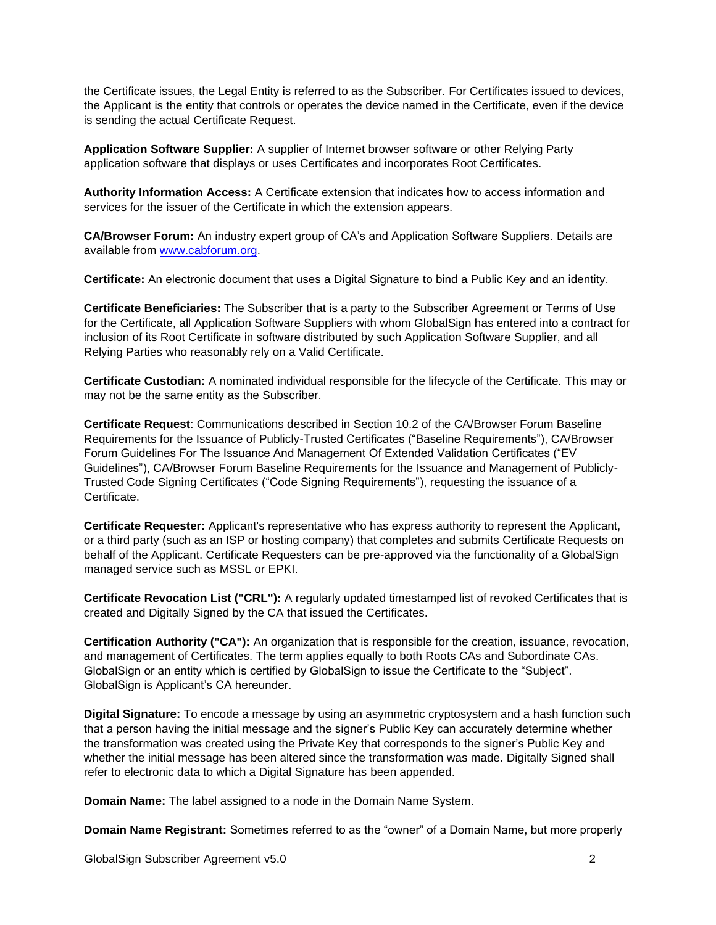the Certificate issues, the Legal Entity is referred to as the Subscriber. For Certificates issued to devices, the Applicant is the entity that controls or operates the device named in the Certificate, even if the device is sending the actual Certificate Request.

**Application Software Supplier:** A supplier of Internet browser software or other Relying Party application software that displays or uses Certificates and incorporates Root Certificates.

**Authority Information Access:** A Certificate extension that indicates how to access information and services for the issuer of the Certificate in which the extension appears.

**CA/Browser Forum:** An industry expert group of CA's and Application Software Suppliers. Details are available from [www.cabforum.org.](http://www.cabforum.org/)

**Certificate:** An electronic document that uses a Digital Signature to bind a Public Key and an identity.

**Certificate Beneficiaries:** The Subscriber that is a party to the Subscriber Agreement or Terms of Use for the Certificate, all Application Software Suppliers with whom GlobalSign has entered into a contract for inclusion of its Root Certificate in software distributed by such Application Software Supplier, and all Relying Parties who reasonably rely on a Valid Certificate.

**Certificate Custodian:** A nominated individual responsible for the lifecycle of the Certificate. This may or may not be the same entity as the Subscriber.

**Certificate Request**: Communications described in Section 10.2 of the CA/Browser Forum Baseline Requirements for the Issuance of Publicly-Trusted Certificates ("Baseline Requirements"), CA/Browser Forum Guidelines For The Issuance And Management Of Extended Validation Certificates ("EV Guidelines"), CA/Browser Forum Baseline Requirements for the Issuance and Management of Publicly-Trusted Code Signing Certificates ("Code Signing Requirements"), requesting the issuance of a Certificate.

**Certificate Requester:** Applicant's representative who has express authority to represent the Applicant, or a third party (such as an ISP or hosting company) that completes and submits Certificate Requests on behalf of the Applicant. Certificate Requesters can be pre-approved via the functionality of a GlobalSign managed service such as MSSL or EPKI.

**Certificate Revocation List ("CRL"):** A regularly updated timestamped list of revoked Certificates that is created and Digitally Signed by the CA that issued the Certificates.

**Certification Authority ("CA"):** An organization that is responsible for the creation, issuance, revocation, and management of Certificates. The term applies equally to both Roots CAs and Subordinate CAs. GlobalSign or an entity which is certified by GlobalSign to issue the Certificate to the "Subject". GlobalSign is Applicant's CA hereunder.

**Digital Signature:** To encode a message by using an asymmetric cryptosystem and a hash function such that a person having the initial message and the signer's Public Key can accurately determine whether the transformation was created using the Private Key that corresponds to the signer's Public Key and whether the initial message has been altered since the transformation was made. Digitally Signed shall refer to electronic data to which a Digital Signature has been appended.

**Domain Name:** The label assigned to a node in the Domain Name System.

**Domain Name Registrant:** Sometimes referred to as the "owner" of a Domain Name, but more properly

GlobalSign Subscriber Agreement v5.0 2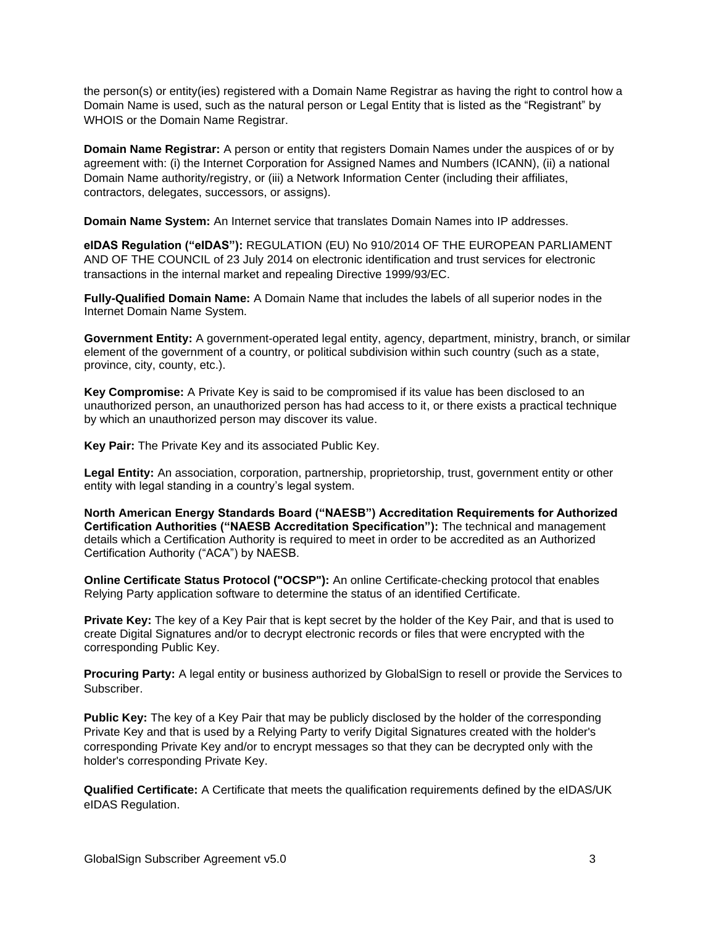the person(s) or entity(ies) registered with a Domain Name Registrar as having the right to control how a Domain Name is used, such as the natural person or Legal Entity that is listed as the "Registrant" by WHOIS or the Domain Name Registrar.

**Domain Name Registrar:** A person or entity that registers Domain Names under the auspices of or by agreement with: (i) the Internet Corporation for Assigned Names and Numbers (ICANN), (ii) a national Domain Name authority/registry, or (iii) a Network Information Center (including their affiliates, contractors, delegates, successors, or assigns).

**Domain Name System:** An Internet service that translates [Domain Names](http://www.webopedia.com/TERM/D/domain_name.html) into IP addresses.

**eIDAS Regulation ("eIDAS"):** REGULATION (EU) No 910/2014 OF THE EUROPEAN PARLIAMENT AND OF THE COUNCIL of 23 July 2014 on electronic identification and trust services for electronic transactions in the internal market and repealing Directive 1999/93/EC.

**Fully-Qualified Domain Name:** A Domain Name that includes the labels of all superior nodes in the Internet Domain Name System.

**Government Entity:** A government-operated legal entity, agency, department, ministry, branch, or similar element of the government of a country, or political subdivision within such country (such as a state, province, city, county, etc.).

**Key Compromise:** A Private Key is said to be compromised if its value has been disclosed to an unauthorized person, an unauthorized person has had access to it, or there exists a practical technique by which an unauthorized person may discover its value.

**Key Pair:** The Private Key and its associated Public Key.

**Legal Entity:** An association, corporation, partnership, proprietorship, trust, government entity or other entity with legal standing in a country's legal system.

**North American Energy Standards Board ("NAESB") Accreditation Requirements for Authorized Certification Authorities ("NAESB Accreditation Specification"):** The technical and management details which a Certification Authority is required to meet in order to be accredited as an Authorized Certification Authority ("ACA") by NAESB.

**Online Certificate Status Protocol ("OCSP"):** An online Certificate-checking protocol that enables Relying Party application software to determine the status of an identified Certificate.

**Private Key:** The key of a Key Pair that is kept secret by the holder of the Key Pair, and that is used to create Digital Signatures and/or to decrypt electronic records or files that were encrypted with the corresponding Public Key.

**Procuring Party:** A legal entity or business authorized by GlobalSign to resell or provide the Services to Subscriber.

**Public Key:** The key of a Key Pair that may be publicly disclosed by the holder of the corresponding Private Key and that is used by a Relying Party to verify Digital Signatures created with the holder's corresponding Private Key and/or to encrypt messages so that they can be decrypted only with the holder's corresponding Private Key.

**Qualified Certificate:** A Certificate that meets the qualification requirements defined by the eIDAS/UK eIDAS Regulation.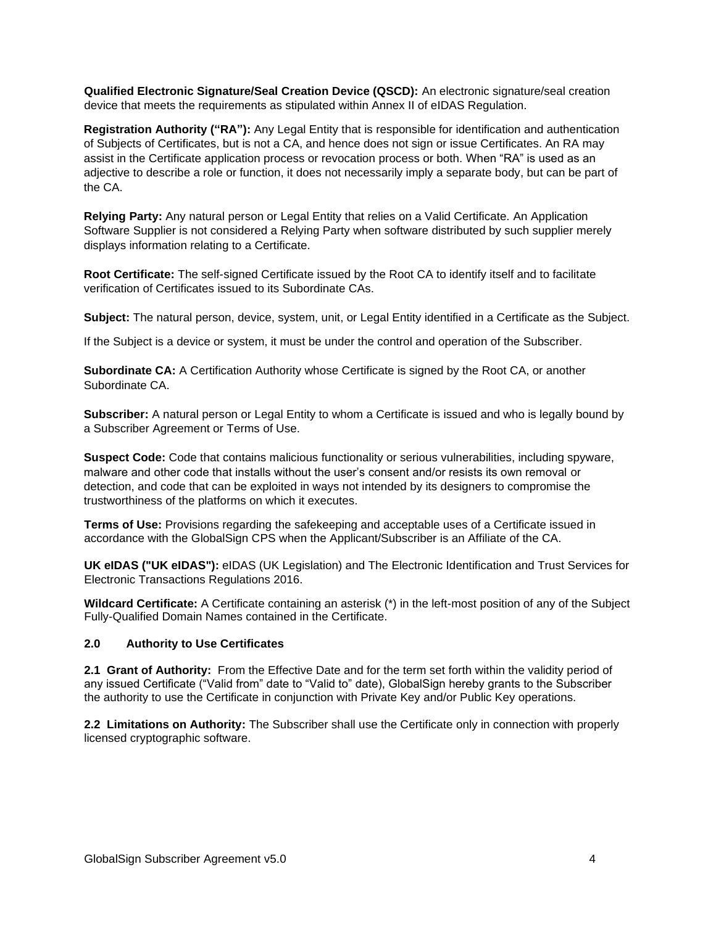**Qualified Electronic Signature/Seal Creation Device (QSCD):** An electronic signature/seal creation device that meets the requirements as stipulated within Annex II of eIDAS Regulation.

**Registration Authority ("RA"):** Any Legal Entity that is responsible for identification and authentication of Subjects of Certificates, but is not a CA, and hence does not sign or issue Certificates. An RA may assist in the Certificate application process or revocation process or both. When "RA" is used as an adjective to describe a role or function, it does not necessarily imply a separate body, but can be part of the CA.

**Relying Party:** Any natural person or Legal Entity that relies on a Valid Certificate. An Application Software Supplier is not considered a Relying Party when software distributed by such supplier merely displays information relating to a Certificate.

**Root Certificate:** The self-signed Certificate issued by the Root CA to identify itself and to facilitate verification of Certificates issued to its Subordinate CAs.

**Subject:** The natural person, device, system, unit, or Legal Entity identified in a Certificate as the Subject.

If the Subject is a device or system, it must be under the control and operation of the Subscriber.

**Subordinate CA:** A Certification Authority whose Certificate is signed by the Root CA, or another Subordinate CA.

**Subscriber:** A natural person or Legal Entity to whom a Certificate is issued and who is legally bound by a Subscriber Agreement or Terms of Use.

**Suspect Code:** Code that contains malicious functionality or serious vulnerabilities, including spyware, malware and other code that installs without the user's consent and/or resists its own removal or detection, and code that can be exploited in ways not intended by its designers to compromise the trustworthiness of the platforms on which it executes.

**Terms of Use:** Provisions regarding the safekeeping and acceptable uses of a Certificate issued in accordance with the GlobalSign CPS when the Applicant/Subscriber is an Affiliate of the CA.

**UK eIDAS ("UK eIDAS"):** eIDAS (UK Legislation) and The Electronic Identification and Trust Services for Electronic Transactions Regulations 2016.

**Wildcard Certificate:** A Certificate containing an asterisk (\*) in the left-most position of any of the Subject Fully-Qualified Domain Names contained in the Certificate.

### **2.0 Authority to Use Certificates**

**2.1 Grant of Authority:** From the Effective Date and for the term set forth within the validity period of any issued Certificate ("Valid from" date to "Valid to" date), GlobalSign hereby grants to the Subscriber the authority to use the Certificate in conjunction with Private Key and/or Public Key operations.

**2.2 Limitations on Authority:** The Subscriber shall use the Certificate only in connection with properly licensed cryptographic software.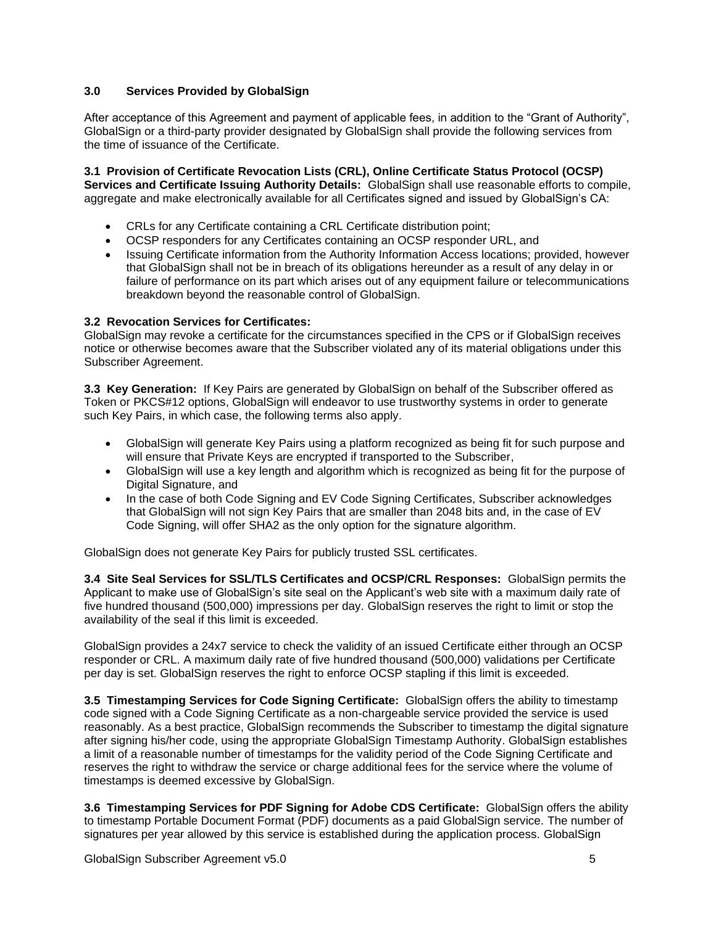# **3.0 Services Provided by GlobalSign**

After acceptance of this Agreement and payment of applicable fees, in addition to the "Grant of Authority", GlobalSign or a third-party provider designated by GlobalSign shall provide the following services from the time of issuance of the Certificate.

**3.1 Provision of Certificate Revocation Lists (CRL), Online Certificate Status Protocol (OCSP) Services and Certificate Issuing Authority Details:** GlobalSign shall use reasonable efforts to compile, aggregate and make electronically available for all Certificates signed and issued by GlobalSign's CA:

- CRLs for any Certificate containing a CRL Certificate distribution point;
- OCSP responders for any Certificates containing an OCSP responder URL, and
- Issuing Certificate information from the Authority Information Access locations; provided, however that GlobalSign shall not be in breach of its obligations hereunder as a result of any delay in or failure of performance on its part which arises out of any equipment failure or telecommunications breakdown beyond the reasonable control of GlobalSign.

### **3.2 Revocation Services for Certificates:**

GlobalSign may revoke a certificate for the circumstances specified in the CPS or if GlobalSign receives notice or otherwise becomes aware that the Subscriber violated any of its material obligations under this Subscriber Agreement.

**3.3 Key Generation:** If Key Pairs are generated by GlobalSign on behalf of the Subscriber offered as Token or PKCS#12 options, GlobalSign will endeavor to use trustworthy systems in order to generate such Key Pairs, in which case, the following terms also apply.

- GlobalSign will generate Key Pairs using a platform recognized as being fit for such purpose and will ensure that Private Keys are encrypted if transported to the Subscriber,
- GlobalSign will use a key length and algorithm which is recognized as being fit for the purpose of Digital Signature, and
- In the case of both Code Signing and EV Code Signing Certificates, Subscriber acknowledges that GlobalSign will not sign Key Pairs that are smaller than 2048 bits and, in the case of EV Code Signing, will offer SHA2 as the only option for the signature algorithm.

GlobalSign does not generate Key Pairs for publicly trusted SSL certificates.

**3.4 Site Seal Services for SSL/TLS Certificates and OCSP/CRL Responses:** GlobalSign permits the Applicant to make use of GlobalSign's site seal on the Applicant's web site with a maximum daily rate of five hundred thousand (500,000) impressions per day. GlobalSign reserves the right to limit or stop the availability of the seal if this limit is exceeded.

GlobalSign provides a 24x7 service to check the validity of an issued Certificate either through an OCSP responder or CRL. A maximum daily rate of five hundred thousand (500,000) validations per Certificate per day is set. GlobalSign reserves the right to enforce OCSP stapling if this limit is exceeded.

**3.5 Timestamping Services for Code Signing Certificate:** GlobalSign offers the ability to timestamp code signed with a Code Signing Certificate as a non-chargeable service provided the service is used reasonably. As a best practice, GlobalSign recommends the Subscriber to timestamp the digital signature after signing his/her code, using the appropriate GlobalSign Timestamp Authority. GlobalSign establishes a limit of a reasonable number of timestamps for the validity period of the Code Signing Certificate and reserves the right to withdraw the service or charge additional fees for the service where the volume of timestamps is deemed excessive by GlobalSign.

**3.6 Timestamping Services for PDF Signing for Adobe CDS Certificate:** GlobalSign offers the ability to timestamp Portable Document Format (PDF) documents as a paid GlobalSign service. The number of signatures per year allowed by this service is established during the application process. GlobalSign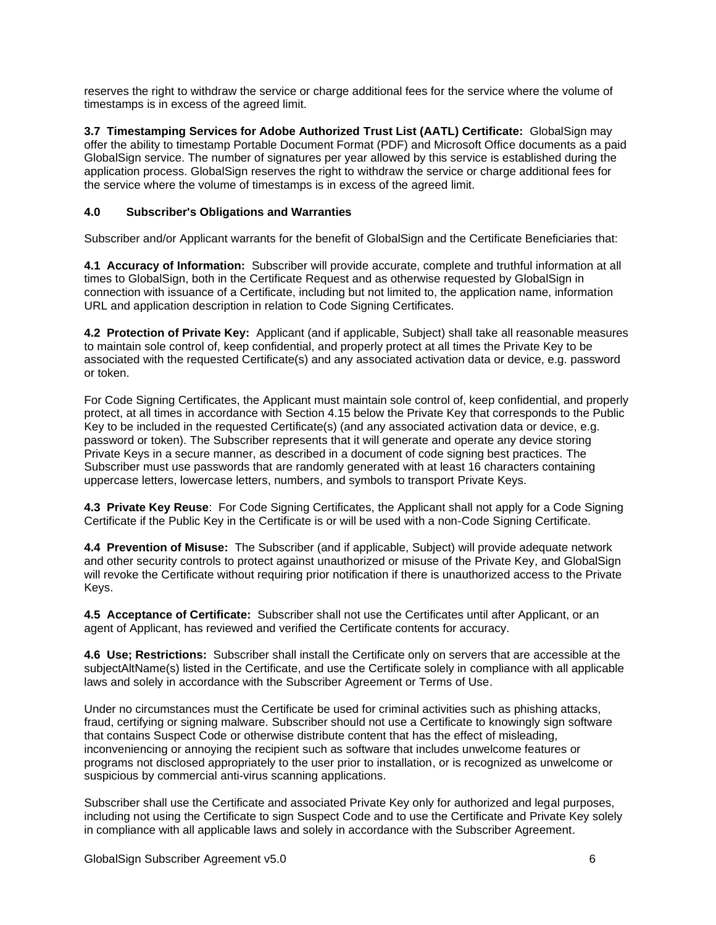reserves the right to withdraw the service or charge additional fees for the service where the volume of timestamps is in excess of the agreed limit.

**3.7 Timestamping Services for Adobe Authorized Trust List (AATL) Certificate:** GlobalSign may offer the ability to timestamp Portable Document Format (PDF) and Microsoft Office documents as a paid GlobalSign service. The number of signatures per year allowed by this service is established during the application process. GlobalSign reserves the right to withdraw the service or charge additional fees for the service where the volume of timestamps is in excess of the agreed limit.

# **4.0 Subscriber's Obligations and Warranties**

Subscriber and/or Applicant warrants for the benefit of GlobalSign and the Certificate Beneficiaries that:

**4.1 Accuracy of Information:** Subscriber will provide accurate, complete and truthful information at all times to GlobalSign, both in the Certificate Request and as otherwise requested by GlobalSign in connection with issuance of a Certificate, including but not limited to, the application name, information URL and application description in relation to Code Signing Certificates.

**4.2 Protection of Private Key:** Applicant (and if applicable, Subject) shall take all reasonable measures to maintain sole control of, keep confidential, and properly protect at all times the Private Key to be associated with the requested Certificate(s) and any associated activation data or device, e.g. password or token.

For Code Signing Certificates, the Applicant must maintain sole control of, keep confidential, and properly protect, at all times in accordance with Section 4.15 below the Private Key that corresponds to the Public Key to be included in the requested Certificate(s) (and any associated activation data or device, e.g. password or token). The Subscriber represents that it will generate and operate any device storing Private Keys in a secure manner, as described in a document of code signing best practices. The Subscriber must use passwords that are randomly generated with at least 16 characters containing uppercase letters, lowercase letters, numbers, and symbols to transport Private Keys.

**4.3 Private Key Reuse**: For Code Signing Certificates, the Applicant shall not apply for a Code Signing Certificate if the Public Key in the Certificate is or will be used with a non-Code Signing Certificate.

**4.4 Prevention of Misuse:** The Subscriber (and if applicable, Subject) will provide adequate network and other security controls to protect against unauthorized or misuse of the Private Key, and GlobalSign will revoke the Certificate without requiring prior notification if there is unauthorized access to the Private Keys.

**4.5 Acceptance of Certificate:** Subscriber shall not use the Certificates until after Applicant, or an agent of Applicant, has reviewed and verified the Certificate contents for accuracy.

**4.6 Use; Restrictions:** Subscriber shall install the Certificate only on servers that are accessible at the subjectAltName(s) listed in the Certificate, and use the Certificate solely in compliance with all applicable laws and solely in accordance with the Subscriber Agreement or Terms of Use.

Under no circumstances must the Certificate be used for criminal activities such as phishing attacks, fraud, certifying or signing malware. Subscriber should not use a Certificate to knowingly sign software that contains Suspect Code or otherwise distribute content that has the effect of misleading, inconveniencing or annoying the recipient such as software that includes unwelcome features or programs not disclosed appropriately to the user prior to installation, or is recognized as unwelcome or suspicious by commercial anti-virus scanning applications.

Subscriber shall use the Certificate and associated Private Key only for authorized and legal purposes, including not using the Certificate to sign Suspect Code and to use the Certificate and Private Key solely in compliance with all applicable laws and solely in accordance with the Subscriber Agreement.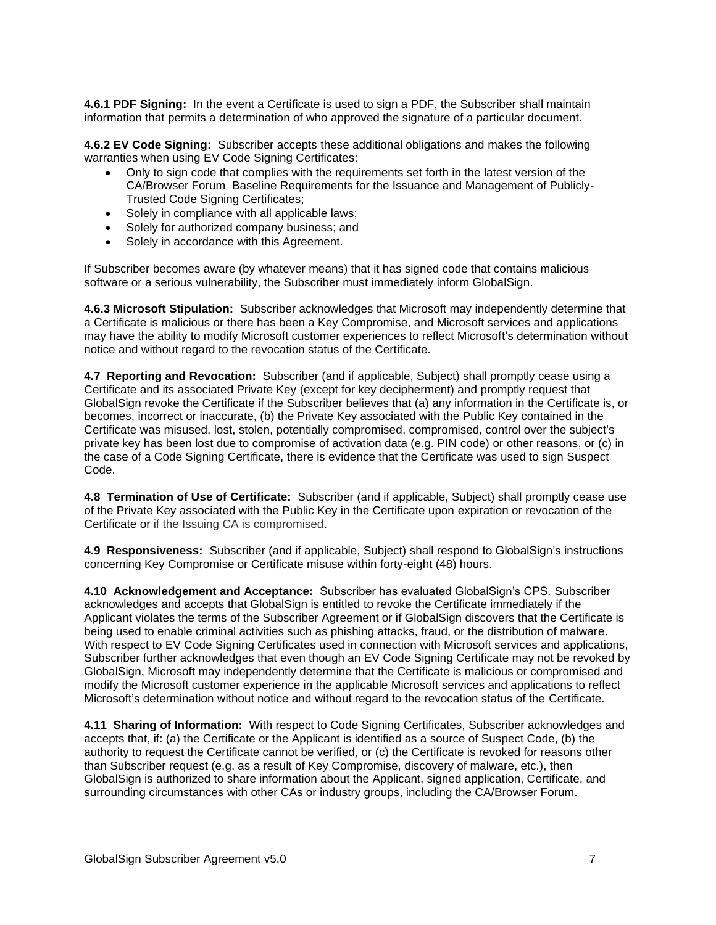**4.6.1 PDF Signing:** In the event a Certificate is used to sign a PDF, the Subscriber shall maintain information that permits a determination of who approved the signature of a particular document.

**4.6.2 EV Code Signing:** Subscriber accepts these additional obligations and makes the following warranties when using EV Code Signing Certificates:

- Only to sign code that complies with the requirements set forth in the latest version of the CA/Browser Forum Baseline Requirements for the Issuance and Management of Publicly-Trusted Code Signing Certificates;
- Solely in compliance with all applicable laws;
- Solely for authorized company business; and
- Solely in accordance with this Agreement.

If Subscriber becomes aware (by whatever means) that it has signed code that contains malicious software or a serious vulnerability, the Subscriber must immediately inform GlobalSign.

**4.6.3 Microsoft Stipulation:** Subscriber acknowledges that Microsoft may independently determine that a Certificate is malicious or there has been a Key Compromise, and Microsoft services and applications may have the ability to modify Microsoft customer experiences to reflect Microsoft's determination without notice and without regard to the revocation status of the Certificate.

**4.7 Reporting and Revocation:** Subscriber (and if applicable, Subject) shall promptly cease using a Certificate and its associated Private Key (except for key decipherment) and promptly request that GlobalSign revoke the Certificate if the Subscriber believes that (a) any information in the Certificate is, or becomes, incorrect or inaccurate, (b) the Private Key associated with the Public Key contained in the Certificate was misused, lost, stolen, potentially compromised, compromised, control over the subject's private key has been lost due to compromise of activation data (e.g. PIN code) or other reasons, or (c) in the case of a Code Signing Certificate, there is evidence that the Certificate was used to sign Suspect Code.

**4.8 Termination of Use of Certificate:** Subscriber (and if applicable, Subject) shall promptly cease use of the Private Key associated with the Public Key in the Certificate upon expiration or revocation of the Certificate or if the Issuing CA is compromised.

**4.9 Responsiveness:** Subscriber (and if applicable, Subject) shall respond to GlobalSign's instructions concerning Key Compromise or Certificate misuse within forty-eight (48) hours.

**4.10 Acknowledgement and Acceptance:** Subscriber has evaluated GlobalSign's CPS. Subscriber acknowledges and accepts that GlobalSign is entitled to revoke the Certificate immediately if the Applicant violates the terms of the Subscriber Agreement or if GlobalSign discovers that the Certificate is being used to enable criminal activities such as phishing attacks, fraud, or the distribution of malware. With respect to EV Code Signing Certificates used in connection with Microsoft services and applications, Subscriber further acknowledges that even though an EV Code Signing Certificate may not be revoked by GlobalSign, Microsoft may independently determine that the Certificate is malicious or compromised and modify the Microsoft customer experience in the applicable Microsoft services and applications to reflect Microsoft's determination without notice and without regard to the revocation status of the Certificate.

**4.11 Sharing of Information:** With respect to Code Signing Certificates, Subscriber acknowledges and accepts that, if: (a) the Certificate or the Applicant is identified as a source of Suspect Code, (b) the authority to request the Certificate cannot be verified, or (c) the Certificate is revoked for reasons other than Subscriber request (e.g. as a result of Key Compromise, discovery of malware, etc.), then GlobalSign is authorized to share information about the Applicant, signed application, Certificate, and surrounding circumstances with other CAs or industry groups, including the CA/Browser Forum.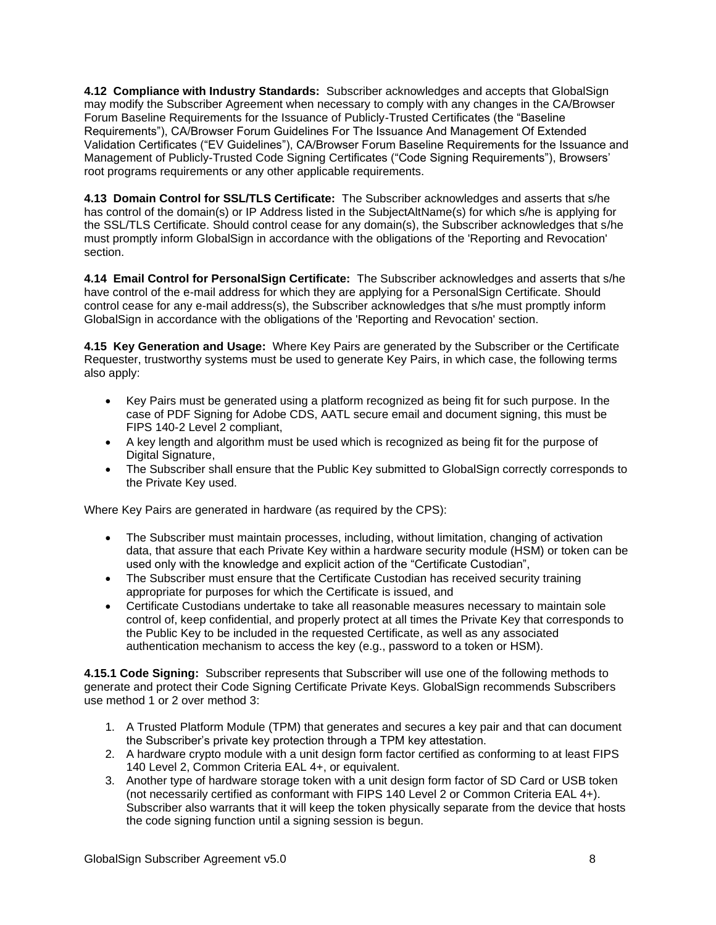**4.12 Compliance with Industry Standards:** Subscriber acknowledges and accepts that GlobalSign may modify the Subscriber Agreement when necessary to comply with any changes in the CA/Browser Forum Baseline Requirements for the Issuance of Publicly-Trusted Certificates (the "Baseline Requirements"), CA/Browser Forum Guidelines For The Issuance And Management Of Extended Validation Certificates ("EV Guidelines"), CA/Browser Forum Baseline Requirements for the Issuance and Management of Publicly-Trusted Code Signing Certificates ("Code Signing Requirements"), Browsers' root programs requirements or any other applicable requirements.

**4.13 Domain Control for SSL/TLS Certificate:** The Subscriber acknowledges and asserts that s/he has control of the domain(s) or IP Address listed in the SubjectAltName(s) for which s/he is applying for the SSL/TLS Certificate. Should control cease for any domain(s), the Subscriber acknowledges that s/he must promptly inform GlobalSign in accordance with the obligations of the 'Reporting and Revocation' section.

**4.14 Email Control for PersonalSign Certificate:** The Subscriber acknowledges and asserts that s/he have control of the e-mail address for which they are applying for a PersonalSign Certificate. Should control cease for any e-mail address(s), the Subscriber acknowledges that s/he must promptly inform GlobalSign in accordance with the obligations of the 'Reporting and Revocation' section.

**4.15 Key Generation and Usage:** Where Key Pairs are generated by the Subscriber or the Certificate Requester, trustworthy systems must be used to generate Key Pairs, in which case, the following terms also apply:

- Key Pairs must be generated using a platform recognized as being fit for such purpose. In the case of PDF Signing for Adobe CDS, AATL secure email and document signing, this must be FIPS 140-2 Level 2 compliant,
- A key length and algorithm must be used which is recognized as being fit for the purpose of Digital Signature,
- The Subscriber shall ensure that the Public Key submitted to GlobalSign correctly corresponds to the Private Key used.

Where Key Pairs are generated in hardware (as required by the CPS):

- The Subscriber must maintain processes, including, without limitation, changing of activation data, that assure that each Private Key within a hardware security module (HSM) or token can be used only with the knowledge and explicit action of the "Certificate Custodian",
- The Subscriber must ensure that the Certificate Custodian has received security training appropriate for purposes for which the Certificate is issued, and
- Certificate Custodians undertake to take all reasonable measures necessary to maintain sole control of, keep confidential, and properly protect at all times the Private Key that corresponds to the Public Key to be included in the requested Certificate, as well as any associated authentication mechanism to access the key (e.g., password to a token or HSM).

**4.15.1 Code Signing:** Subscriber represents that Subscriber will use one of the following methods to generate and protect their Code Signing Certificate Private Keys. GlobalSign recommends Subscribers use method 1 or 2 over method 3:

- 1. A Trusted Platform Module (TPM) that generates and secures a key pair and that can document the Subscriber's private key protection through a TPM key attestation.
- 2. A hardware crypto module with a unit design form factor certified as conforming to at least FIPS 140 Level 2, Common Criteria EAL 4+, or equivalent.
- 3. Another type of hardware storage token with a unit design form factor of SD Card or USB token (not necessarily certified as conformant with FIPS 140 Level 2 or Common Criteria EAL 4+). Subscriber also warrants that it will keep the token physically separate from the device that hosts the code signing function until a signing session is begun.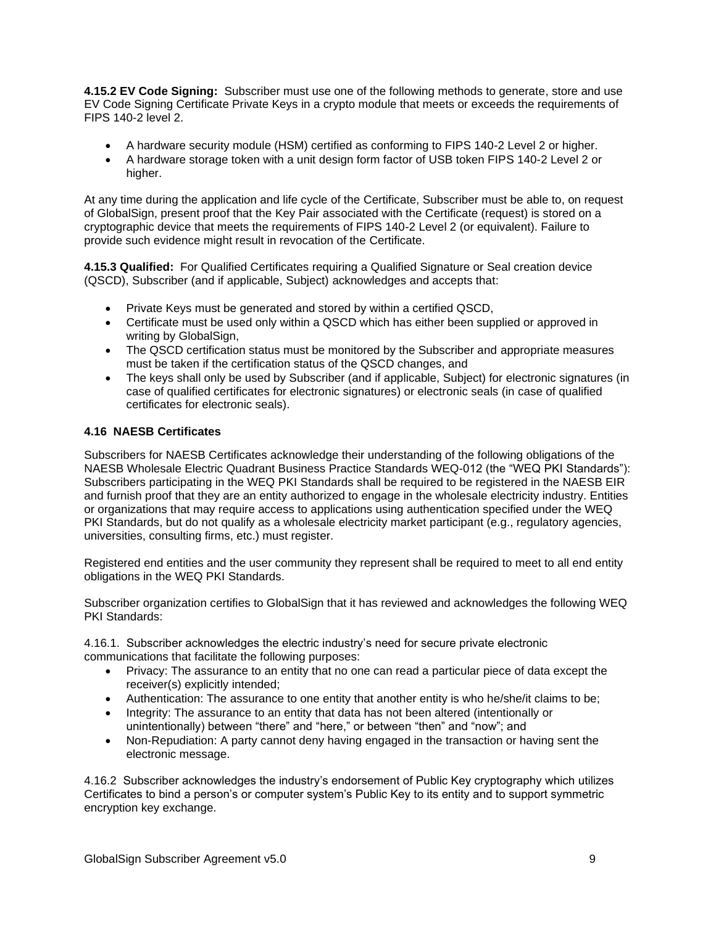**4.15.2 EV Code Signing:** Subscriber must use one of the following methods to generate, store and use EV Code Signing Certificate Private Keys in a crypto module that meets or exceeds the requirements of FIPS 140-2 level 2.

- A hardware security module (HSM) certified as conforming to FIPS 140-2 Level 2 or higher.
- A hardware storage token with a unit design form factor of USB token FIPS 140-2 Level 2 or higher.

At any time during the application and life cycle of the Certificate, Subscriber must be able to, on request of GlobalSign, present proof that the Key Pair associated with the Certificate (request) is stored on a cryptographic device that meets the requirements of FIPS 140-2 Level 2 (or equivalent). Failure to provide such evidence might result in revocation of the Certificate.

**4.15.3 Qualified:** For Qualified Certificates requiring a Qualified Signature or Seal creation device (QSCD), Subscriber (and if applicable, Subject) acknowledges and accepts that:

- Private Keys must be generated and stored by within a certified QSCD,
- Certificate must be used only within a QSCD which has either been supplied or approved in writing by GlobalSign.
- The QSCD certification status must be monitored by the Subscriber and appropriate measures must be taken if the certification status of the QSCD changes, and
- The keys shall only be used by Subscriber (and if applicable, Subject) for electronic signatures (in case of qualified certificates for electronic signatures) or electronic seals (in case of qualified certificates for electronic seals).

### **4.16 NAESB Certificates**

Subscribers for NAESB Certificates acknowledge their understanding of the following obligations of the NAESB Wholesale Electric Quadrant Business Practice Standards WEQ-012 (the "WEQ PKI Standards"): Subscribers participating in the WEQ PKI Standards shall be required to be registered in the NAESB EIR and furnish proof that they are an entity authorized to engage in the wholesale electricity industry. Entities or organizations that may require access to applications using authentication specified under the WEQ PKI Standards, but do not qualify as a wholesale electricity market participant (e.g., regulatory agencies, universities, consulting firms, etc.) must register.

Registered end entities and the user community they represent shall be required to meet to all end entity obligations in the WEQ PKI Standards.

Subscriber organization certifies to GlobalSign that it has reviewed and acknowledges the following WEQ PKI Standards:

4.16.1. Subscriber acknowledges the electric industry's need for secure private electronic communications that facilitate the following purposes:

- Privacy: The assurance to an entity that no one can read a particular piece of data except the receiver(s) explicitly intended;
- Authentication: The assurance to one entity that another entity is who he/she/it claims to be;
- Integrity: The assurance to an entity that data has not been altered (intentionally or unintentionally) between "there" and "here," or between "then" and "now"; and
- Non-Repudiation: A party cannot deny having engaged in the transaction or having sent the electronic message.

4.16.2 Subscriber acknowledges the industry's endorsement of Public Key cryptography which utilizes Certificates to bind a person's or computer system's Public Key to its entity and to support symmetric encryption key exchange.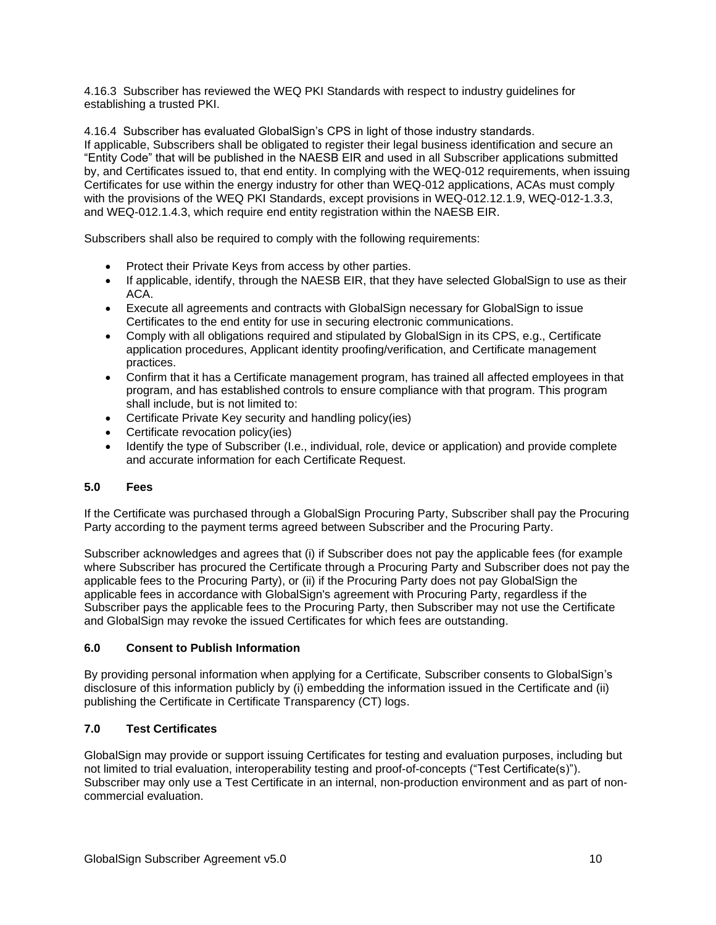4.16.3 Subscriber has reviewed the WEQ PKI Standards with respect to industry guidelines for establishing a trusted PKI.

4.16.4 Subscriber has evaluated GlobalSign's CPS in light of those industry standards. If applicable, Subscribers shall be obligated to register their legal business identification and secure an "Entity Code" that will be published in the NAESB EIR and used in all Subscriber applications submitted by, and Certificates issued to, that end entity. In complying with the WEQ-012 requirements, when issuing Certificates for use within the energy industry for other than WEQ-012 applications, ACAs must comply with the provisions of the WEQ PKI Standards, except provisions in WEQ-012.12.1.9, WEQ-012-1.3.3, and WEQ-012.1.4.3, which require end entity registration within the NAESB EIR.

Subscribers shall also be required to comply with the following requirements:

- Protect their Private Keys from access by other parties.
- If applicable, identify, through the NAESB EIR, that they have selected GlobalSign to use as their ACA.
- Execute all agreements and contracts with GlobalSign necessary for GlobalSign to issue Certificates to the end entity for use in securing electronic communications.
- Comply with all obligations required and stipulated by GlobalSign in its CPS, e.g., Certificate application procedures, Applicant identity proofing/verification, and Certificate management practices.
- Confirm that it has a Certificate management program, has trained all affected employees in that program, and has established controls to ensure compliance with that program. This program shall include, but is not limited to:
- Certificate Private Key security and handling policy(ies)
- Certificate revocation policy(ies)
- Identify the type of Subscriber (I.e., individual, role, device or application) and provide complete and accurate information for each Certificate Request.

# **5.0 Fees**

If the Certificate was purchased through a GlobalSign Procuring Party, Subscriber shall pay the Procuring Party according to the payment terms agreed between Subscriber and the Procuring Party.

Subscriber acknowledges and agrees that (i) if Subscriber does not pay the applicable fees (for example where Subscriber has procured the Certificate through a Procuring Party and Subscriber does not pay the applicable fees to the Procuring Party), or (ii) if the Procuring Party does not pay GlobalSign the applicable fees in accordance with GlobalSign's agreement with Procuring Party, regardless if the Subscriber pays the applicable fees to the Procuring Party, then Subscriber may not use the Certificate and GlobalSign may revoke the issued Certificates for which fees are outstanding.

# **6.0 Consent to Publish Information**

By providing personal information when applying for a Certificate, Subscriber consents to GlobalSign's disclosure of this information publicly by (i) embedding the information issued in the Certificate and (ii) publishing the Certificate in Certificate Transparency (CT) logs.

# **7.0 Test Certificates**

GlobalSign may provide or support issuing Certificates for testing and evaluation purposes, including but not limited to trial evaluation, interoperability testing and proof-of-concepts ("Test Certificate(s)"). Subscriber may only use a Test Certificate in an internal, non-production environment and as part of noncommercial evaluation.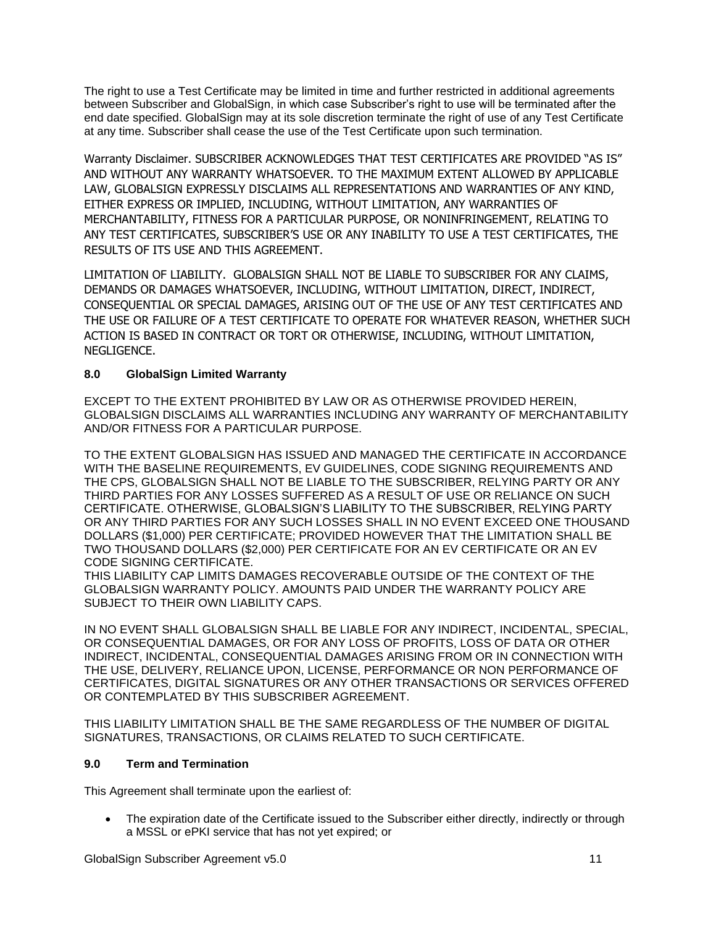The right to use a Test Certificate may be limited in time and further restricted in additional agreements between Subscriber and GlobalSign, in which case Subscriber's right to use will be terminated after the end date specified. GlobalSign may at its sole discretion terminate the right of use of any Test Certificate at any time. Subscriber shall cease the use of the Test Certificate upon such termination.

Warranty Disclaimer. SUBSCRIBER ACKNOWLEDGES THAT TEST CERTIFICATES ARE PROVIDED "AS IS" AND WITHOUT ANY WARRANTY WHATSOEVER. TO THE MAXIMUM EXTENT ALLOWED BY APPLICABLE LAW, GLOBALSIGN EXPRESSLY DISCLAIMS ALL REPRESENTATIONS AND WARRANTIES OF ANY KIND, EITHER EXPRESS OR IMPLIED, INCLUDING, WITHOUT LIMITATION, ANY WARRANTIES OF MERCHANTABILITY, FITNESS FOR A PARTICULAR PURPOSE, OR NONINFRINGEMENT, RELATING TO ANY TEST CERTIFICATES, SUBSCRIBER'S USE OR ANY INABILITY TO USE A TEST CERTIFICATES, THE RESULTS OF ITS USE AND THIS AGREEMENT.

LIMITATION OF LIABILITY. GLOBALSIGN SHALL NOT BE LIABLE TO SUBSCRIBER FOR ANY CLAIMS, DEMANDS OR DAMAGES WHATSOEVER, INCLUDING, WITHOUT LIMITATION, DIRECT, INDIRECT, CONSEQUENTIAL OR SPECIAL DAMAGES, ARISING OUT OF THE USE OF ANY TEST CERTIFICATES AND THE USE OR FAILURE OF A TEST CERTIFICATE TO OPERATE FOR WHATEVER REASON, WHETHER SUCH ACTION IS BASED IN CONTRACT OR TORT OR OTHERWISE, INCLUDING, WITHOUT LIMITATION, NEGLIGENCE.

# **8.0 GlobalSign Limited Warranty**

EXCEPT TO THE EXTENT PROHIBITED BY LAW OR AS OTHERWISE PROVIDED HEREIN, GLOBALSIGN DISCLAIMS ALL WARRANTIES INCLUDING ANY WARRANTY OF MERCHANTABILITY AND/OR FITNESS FOR A PARTICULAR PURPOSE.

TO THE EXTENT GLOBALSIGN HAS ISSUED AND MANAGED THE CERTIFICATE IN ACCORDANCE WITH THE BASELINE REQUIREMENTS, EV GUIDELINES, CODE SIGNING REQUIREMENTS AND THE CPS, GLOBALSIGN SHALL NOT BE LIABLE TO THE SUBSCRIBER, RELYING PARTY OR ANY THIRD PARTIES FOR ANY LOSSES SUFFERED AS A RESULT OF USE OR RELIANCE ON SUCH CERTIFICATE. OTHERWISE, GLOBALSIGN'S LIABILITY TO THE SUBSCRIBER, RELYING PARTY OR ANY THIRD PARTIES FOR ANY SUCH LOSSES SHALL IN NO EVENT EXCEED ONE THOUSAND DOLLARS (\$1,000) PER CERTIFICATE; PROVIDED HOWEVER THAT THE LIMITATION SHALL BE TWO THOUSAND DOLLARS (\$2,000) PER CERTIFICATE FOR AN EV CERTIFICATE OR AN EV CODE SIGNING CERTIFICATE.

THIS LIABILITY CAP LIMITS DAMAGES RECOVERABLE OUTSIDE OF THE CONTEXT OF THE GLOBALSIGN WARRANTY POLICY. AMOUNTS PAID UNDER THE WARRANTY POLICY ARE SUBJECT TO THEIR OWN LIABILITY CAPS.

IN NO EVENT SHALL GLOBALSIGN SHALL BE LIABLE FOR ANY INDIRECT, INCIDENTAL, SPECIAL, OR CONSEQUENTIAL DAMAGES, OR FOR ANY LOSS OF PROFITS, LOSS OF DATA OR OTHER INDIRECT, INCIDENTAL, CONSEQUENTIAL DAMAGES ARISING FROM OR IN CONNECTION WITH THE USE, DELIVERY, RELIANCE UPON, LICENSE, PERFORMANCE OR NON PERFORMANCE OF CERTIFICATES, DIGITAL SIGNATURES OR ANY OTHER TRANSACTIONS OR SERVICES OFFERED OR CONTEMPLATED BY THIS SUBSCRIBER AGREEMENT.

THIS LIABILITY LIMITATION SHALL BE THE SAME REGARDLESS OF THE NUMBER OF DIGITAL SIGNATURES, TRANSACTIONS, OR CLAIMS RELATED TO SUCH CERTIFICATE.

# **9.0 Term and Termination**

This Agreement shall terminate upon the earliest of:

• The expiration date of the Certificate issued to the Subscriber either directly, indirectly or through a MSSL or ePKI service that has not yet expired; or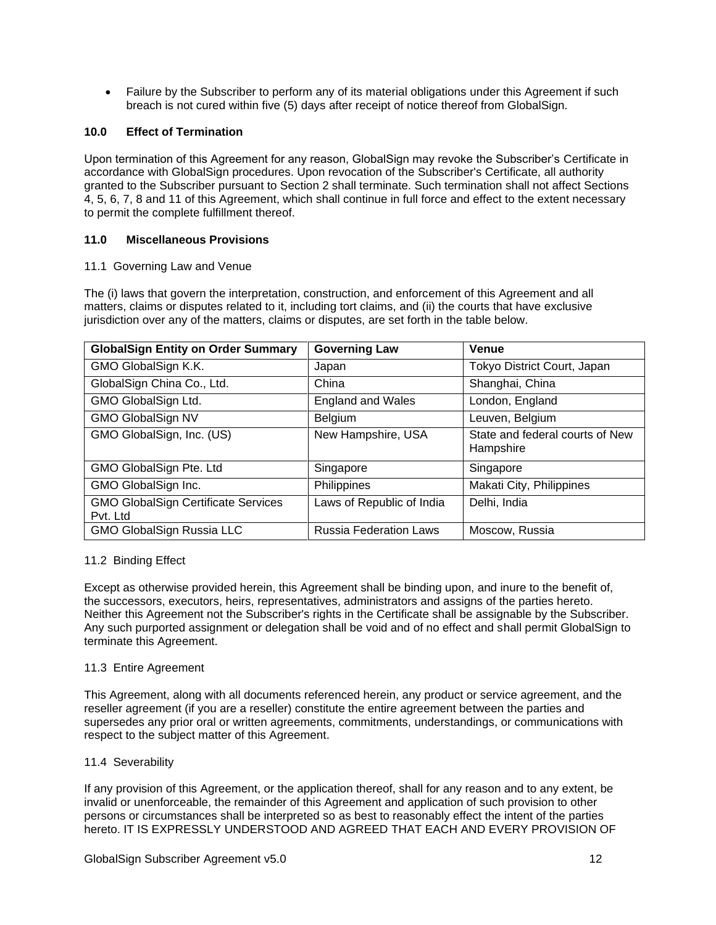• Failure by the Subscriber to perform any of its material obligations under this Agreement if such breach is not cured within five (5) days after receipt of notice thereof from GlobalSign.

### **10.0 Effect of Termination**

Upon termination of this Agreement for any reason, GlobalSign may revoke the Subscriber's Certificate in accordance with GlobalSign procedures. Upon revocation of the Subscriber's Certificate, all authority granted to the Subscriber pursuant to Section 2 shall terminate. Such termination shall not affect Sections 4, 5, 6, 7, 8 and 11 of this Agreement, which shall continue in full force and effect to the extent necessary to permit the complete fulfillment thereof.

### **11.0 Miscellaneous Provisions**

### 11.1 Governing Law and Venue

The (i) laws that govern the interpretation, construction, and enforcement of this Agreement and all matters, claims or disputes related to it, including tort claims, and (ii) the courts that have exclusive jurisdiction over any of the matters, claims or disputes, are set forth in the table below.

| <b>GlobalSign Entity on Order Summary</b>              | <b>Governing Law</b>          | <b>Venue</b>                                 |
|--------------------------------------------------------|-------------------------------|----------------------------------------------|
| GMO GlobalSign K.K.                                    | Japan                         | Tokyo District Court, Japan                  |
| GlobalSign China Co., Ltd.                             | China                         | Shanghai, China                              |
| GMO GlobalSign Ltd.                                    | <b>England and Wales</b>      | London, England                              |
| <b>GMO GlobalSign NV</b>                               | Belgium                       | Leuven, Belgium                              |
| GMO GlobalSign, Inc. (US)                              | New Hampshire, USA            | State and federal courts of New<br>Hampshire |
| GMO GlobalSign Pte. Ltd                                | Singapore                     | Singapore                                    |
| GMO GlobalSign Inc.                                    | Philippines                   | Makati City, Philippines                     |
| <b>GMO GlobalSign Certificate Services</b><br>Pvt. Ltd | Laws of Republic of India     | Delhi, India                                 |
| <b>GMO GlobalSign Russia LLC</b>                       | <b>Russia Federation Laws</b> | Moscow, Russia                               |

### 11.2 Binding Effect

Except as otherwise provided herein, this Agreement shall be binding upon, and inure to the benefit of, the successors, executors, heirs, representatives, administrators and assigns of the parties hereto. Neither this Agreement not the Subscriber's rights in the Certificate shall be assignable by the Subscriber. Any such purported assignment or delegation shall be void and of no effect and shall permit GlobalSign to terminate this Agreement.

### 11.3 Entire Agreement

This Agreement, along with all documents referenced herein, any product or service agreement, and the reseller agreement (if you are a reseller) constitute the entire agreement between the parties and supersedes any prior oral or written agreements, commitments, understandings, or communications with respect to the subject matter of this Agreement.

### 11.4 Severability

If any provision of this Agreement, or the application thereof, shall for any reason and to any extent, be invalid or unenforceable, the remainder of this Agreement and application of such provision to other persons or circumstances shall be interpreted so as best to reasonably effect the intent of the parties hereto. IT IS EXPRESSLY UNDERSTOOD AND AGREED THAT EACH AND EVERY PROVISION OF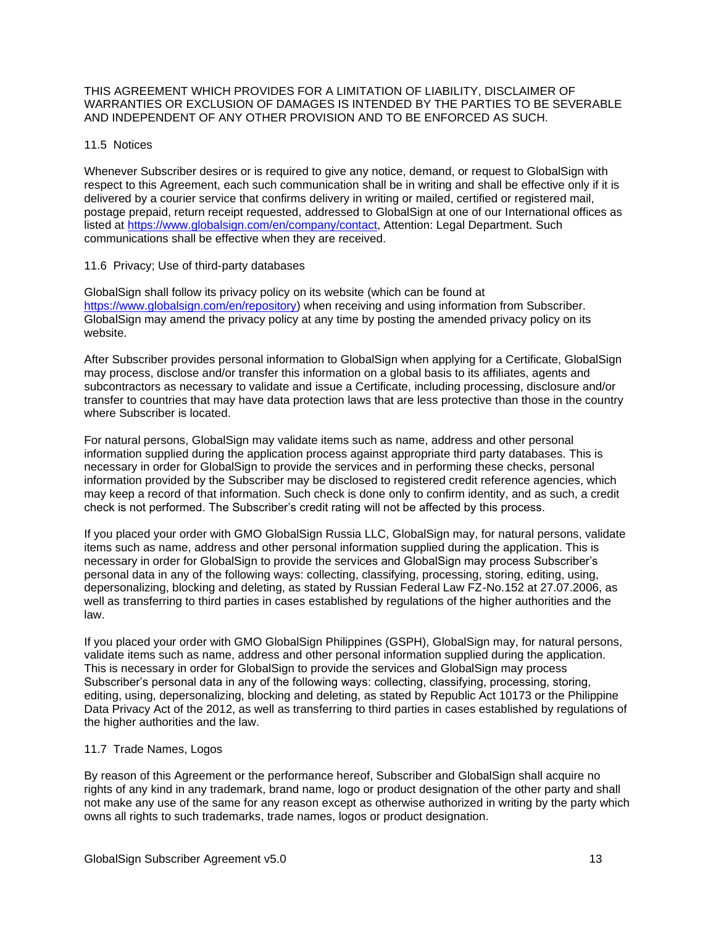#### THIS AGREEMENT WHICH PROVIDES FOR A LIMITATION OF LIABILITY, DISCLAIMER OF WARRANTIES OR EXCLUSION OF DAMAGES IS INTENDED BY THE PARTIES TO BE SEVERABLE AND INDEPENDENT OF ANY OTHER PROVISION AND TO BE ENFORCED AS SUCH.

### 11.5 Notices

Whenever Subscriber desires or is required to give any notice, demand, or request to GlobalSign with respect to this Agreement, each such communication shall be in writing and shall be effective only if it is delivered by a courier service that confirms delivery in writing or mailed, certified or registered mail, postage prepaid, return receipt requested, addressed to GlobalSign at one of our International offices as listed at [https://www.globalsign.com/en/company/contact,](https://www.globalsign.com/en/company/contact) Attention: Legal Department. Such communications shall be effective when they are received.

### 11.6 Privacy; Use of third-party databases

GlobalSign shall follow its privacy policy on its website (which can be found at [https://www.globalsign.com/en/repository\)](https://www.globalsign.com/en/repository) when receiving and using information from Subscriber. GlobalSign may amend the privacy policy at any time by posting the amended privacy policy on its website.

After Subscriber provides personal information to GlobalSign when applying for a Certificate, GlobalSign may process, disclose and/or transfer this information on a global basis to its affiliates, agents and subcontractors as necessary to validate and issue a Certificate, including processing, disclosure and/or transfer to countries that may have data protection laws that are less protective than those in the country where Subscriber is located.

For natural persons, GlobalSign may validate items such as name, address and other personal information supplied during the application process against appropriate third party databases. This is necessary in order for GlobalSign to provide the services and in performing these checks, personal information provided by the Subscriber may be disclosed to registered credit reference agencies, which may keep a record of that information. Such check is done only to confirm identity, and as such, a credit check is not performed. The Subscriber's credit rating will not be affected by this process.

If you placed your order with GMO GlobalSign Russia LLC, GlobalSign may, for natural persons, validate items such as name, address and other personal information supplied during the application. This is necessary in order for GlobalSign to provide the services and GlobalSign may process Subscriber's personal data in any of the following ways: collecting, classifying, processing, storing, editing, using, depersonalizing, blocking and deleting, as stated by Russian Federal Law FZ-No.152 at 27.07.2006, as well as transferring to third parties in cases established by regulations of the higher authorities and the law.

If you placed your order with GMO GlobalSign Philippines (GSPH), GlobalSign may, for natural persons, validate items such as name, address and other personal information supplied during the application. This is necessary in order for GlobalSign to provide the services and GlobalSign may process Subscriber's personal data in any of the following ways: collecting, classifying, processing, storing, editing, using, depersonalizing, blocking and deleting, as stated by Republic Act 10173 or the Philippine Data Privacy Act of the 2012, as well as transferring to third parties in cases established by regulations of the higher authorities and the law.

### 11.7 Trade Names, Logos

By reason of this Agreement or the performance hereof, Subscriber and GlobalSign shall acquire no rights of any kind in any trademark, brand name, logo or product designation of the other party and shall not make any use of the same for any reason except as otherwise authorized in writing by the party which owns all rights to such trademarks, trade names, logos or product designation.